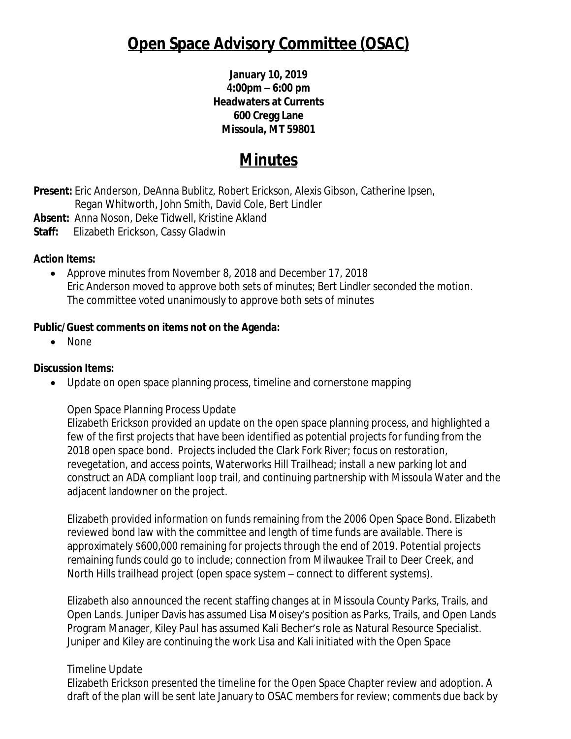# **Open Space Advisory Committee (OSAC)**

**January 10, 2019 4:00pm – 6:00 pm Headwaters at Currents 600 Cregg Lane Missoula, MT 59801**

## **Minutes**

**Present:** Eric Anderson, DeAnna Bublitz, Robert Erickson, Alexis Gibson, Catherine Ipsen, Regan Whitworth, John Smith, David Cole, Bert Lindler

**Absent:** Anna Noson, Deke Tidwell, Kristine Akland

**Staff:** Elizabeth Erickson, Cassy Gladwin

#### **Action Items:**

 Approve minutes from November 8, 2018 and December 17, 2018 Eric Anderson moved to approve both sets of minutes; Bert Lindler seconded the motion. The committee voted unanimously to approve both sets of minutes

### **Public/Guest comments on items not on the Agenda:**

• None

### **Discussion Items:**

• Update on open space planning process, timeline and cornerstone mapping

### Open Space Planning Process Update

Elizabeth Erickson provided an update on the open space planning process, and highlighted a few of the first projects that have been identified as potential projects for funding from the 2018 open space bond. Projects included the Clark Fork River; focus on restoration, revegetation, and access points, Waterworks Hill Trailhead; install a new parking lot and construct an ADA compliant loop trail, and continuing partnership with Missoula Water and the adjacent landowner on the project.

Elizabeth provided information on funds remaining from the 2006 Open Space Bond. Elizabeth reviewed bond law with the committee and length of time funds are available. There is approximately \$600,000 remaining for projects through the end of 2019. Potential projects remaining funds could go to include; connection from Milwaukee Trail to Deer Creek, and North Hills trailhead project (open space system – connect to different systems).

Elizabeth also announced the recent staffing changes at in Missoula County Parks, Trails, and Open Lands. Juniper Davis has assumed Lisa Moisey's position as Parks, Trails, and Open Lands Program Manager, Kiley Paul has assumed Kali Becher's role as Natural Resource Specialist. Juniper and Kiley are continuing the work Lisa and Kali initiated with the Open Space

### Timeline Update

Elizabeth Erickson presented the timeline for the Open Space Chapter review and adoption. A draft of the plan will be sent late January to OSAC members for review; comments due back by